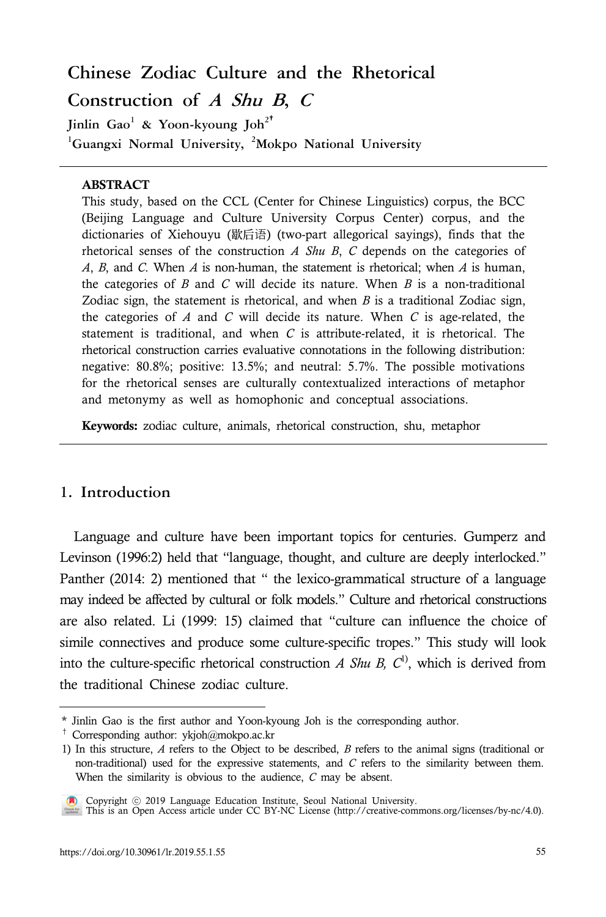# **Chinese Zodiac Culture and the Rhetorical Construction of <sup>A</sup> Shu <sup>B</sup>, <sup>C</sup>**

**Jinlin Gao<sup>1</sup> & Yoon-kyoung Joh<sup>2</sup>**† **<sup>1</sup>Guangxi Normal University, <sup>2</sup>Mokpo National University**

#### **ABSTRACT**

This study, based on the CCL (Center for Chinese Linguistics) corpus, the BCC (Beijing Language and Culture University Corpus Center) corpus, and the dictionaries of Xiehouyu (歇后语) (two-part allegorical sayings), finds that the rhetorical senses of the construction *A Shu B*, *C* depends on the categories of *A*, *B*, and *C*. When *A* is non-human, the statement is rhetorical; when *A* is human, the categories of *B* and *C* will decide its nature. When *B* is a non-traditional Zodiac sign, the statement is rhetorical, and when *B* is a traditional Zodiac sign, the categories of *A* and *C* will decide its nature. When *C* is age-related, the statement is traditional, and when *C* is attribute-related, it is rhetorical. The rhetorical construction carries evaluative connotations in the following distribution: negative: 80.8%; positive: 13.5%; and neutral: 5.7%. The possible motivations for the rhetorical senses are culturally contextualized interactions of metaphor and metonymy as well as homophonic and conceptual associations.

Keywords: zodiac culture, animals, rhetorical construction, shu, metaphor

# **1. Introduction**

Language and culture have been important topics for centuries. Gumperz and Levinson (1996:2) held that "language, thought, and culture are deeply interlocked." Panther (2014: 2) mentioned that " the lexico-grammatical structure of a language may indeed be affected by cultural or folk models." Culture and rhetorical constructions are also related. Li (1999: 15) claimed that "culture can influence the choice of simile connectives and produce some culture-specific tropes." This study will look into the culture-specific rhetorical construction *A Shu B*,  $C^{1}$ , which is derived from the traditional Chinese zodiac culture.

<sup>1)</sup> In this structure,  $A$  refers to the Object to be described,  $B$  refers to the animal signs (traditional or non-traditional) used for the expressive statements, and  $C$  refers to the similarity between them. When the similarity is obvious to the audience, *C* may be absent.



Copyright ⓒ 2019 Language Education Institute, Seoul National University. This is an Open Access article under CC BY-NC License (http://creative-commons.org/licenses/by-nc/4.0).

<sup>\*</sup> Jinlin Gao is the first author and Yoon-kyoung Joh is the corresponding author.

<sup>&</sup>lt;sup>†</sup> Corresponding author: ykjoh@mokpo.ac.kr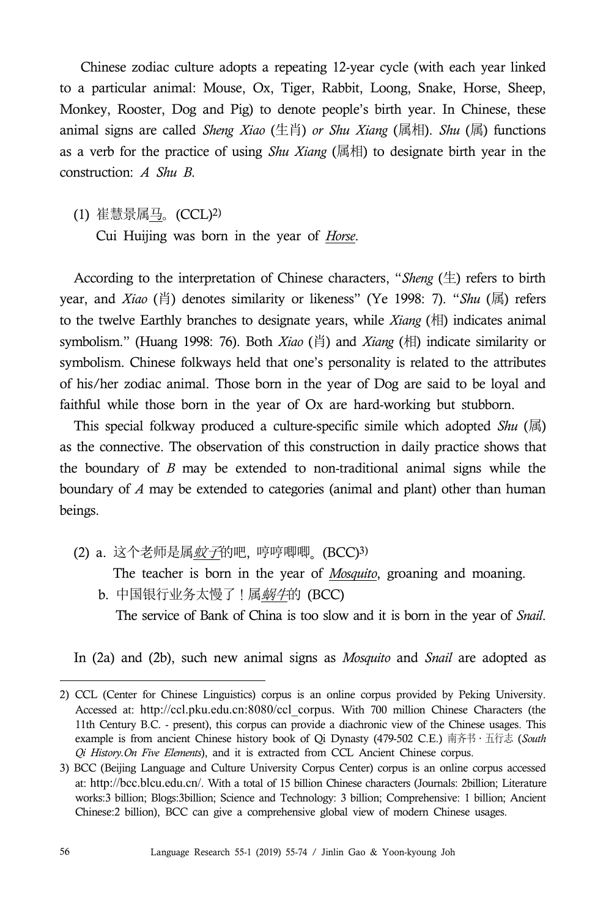Chinese zodiac culture adopts a repeating 12-year cycle (with each year linked to a particular animal: Mouse, Ox, Tiger, Rabbit, Loong, Snake, Horse, Sheep, Monkey, Rooster, Dog and Pig) to denote people's birth year. In Chinese, these animal signs are called *Sheng Xiao* (生肖) *or Shu Xiang* (属相). *Shu* (属) functions as a verb for the practice of using *Shu Xiang* (属相) to designate birth year in the construction: *A Shu B*.

(1) 崔慧景属马。(CCL)2) Cui Huijing was born in the year of *Horse*. According to the interpretation of Chinese characters, "*Sheng* (生) refers to birth year, and *Xiao* (肖) denotes similarity or likeness" (Ye 1998: 7). "*Shu* (属) refers to the twelve Earthly branches to designate years, while *Xiang* (相) indicates animal symbolism." (Huang 1998: 76). Both *Xiao* (肖) and *Xiang* (相) indicate similarity or symbolism. Chinese folkways held that one's personality is related to the attributes of his/her zodiac animal. Those born in the year of Dog are said to be loyal and faithful while those born in the year of Ox are hard-working but stubborn.

This special folkway produced a culture-specific simile which adopted *Shu* (属) as the connective. The observation of this construction in daily practice shows that the boundary of *B* may be extended to non-traditional animal signs while the boundary of *A* may be extended to categories (animal and plant) other than human beings.

(2) a. 这个老师是属*蚊子*的吧, 哼哼唧唧。 (BCC)3)

The teacher is born in the year of *Mosquito*, groaning and moaning.

b. 中国银行业务太慢了!属*蜗牛*的 (BCC)

The service of Bank of China is too slow and it is born in the year of *Snail*.

In (2a) and (2b), such new animal signs as *Mosquito* and *Snail* are adopted as

<sup>2)</sup> CCL (Center for Chinese Linguistics) corpus is an online corpus provided by Peking University. Accessed at: http://ccl.pku.edu.cn:8080/ccl\_corpus. With 700 million Chinese Characters (the 11th Century B.C. - present), this corpus can provide a diachronic view of the Chinese usages. This example is from ancient Chinese history book of Qi Dynasty (479-502 C.E.) 南齐书․五行志 (*South Qi History.On Five Elements*), and it is extracted from CCL Ancient Chinese corpus.

<sup>3)</sup> BCC (Beijing Language and Culture University Corpus Center) corpus is an online corpus accessed at: http://bcc.blcu.edu.cn/. With a total of 15 billion Chinese characters (Journals: 2billion; Literature works:3 billion; Blogs:3billion; Science and Technology: 3 billion; Comprehensive: 1 billion; Ancient Chinese:2 billion), BCC can give a comprehensive global view of modern Chinese usages.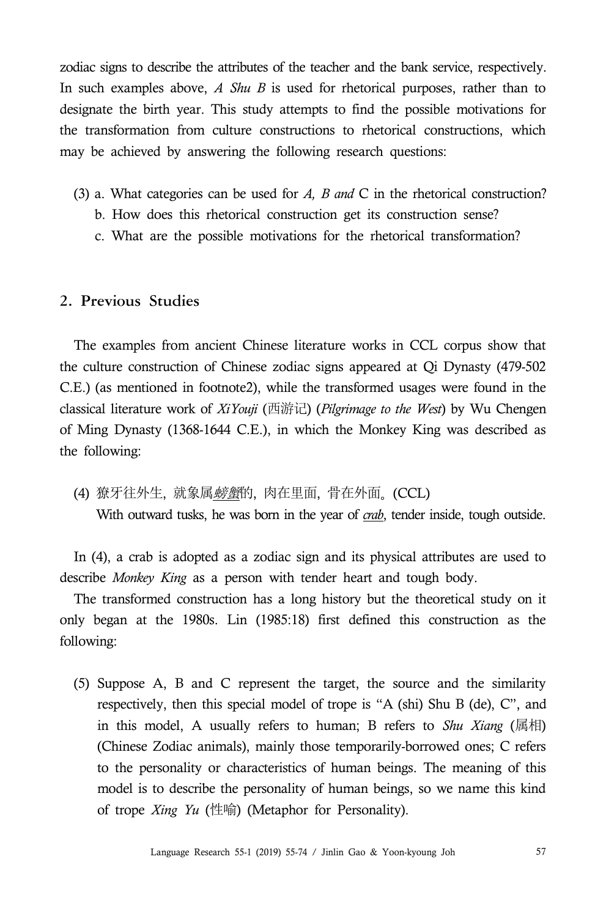zodiac signs to describe the attributes of the teacher and the bank service, respectively. In such examples above, *A Shu B* is used for rhetorical purposes, rather than to designate the birth year. This study attempts to find the possible motivations for the transformation from culture constructions to rhetorical constructions, which may be achieved by answering the following research questions:

- (3) a. What categories can be used for *A, B and* C in the rhetorical construction?
	- b. How does this rhetorical construction get its construction sense?
	- c. What are the possible motivations for the rhetorical transformation?

# **2. Previous Studies**

The examples from ancient Chinese literature works in CCL corpus show that the culture construction of Chinese zodiac signs appeared at Qi Dynasty (479-502 C.E.) (as mentioned in footnote2), while the transformed usages were found in the classical literature work of *XiYouji* (西游记) (*Pilgrimage to the West*) by Wu Chengen of Ming Dynasty (1368-1644 C.E.), in which the Monkey King was described as the following:

(4) 獠牙往外生, 就象属*螃蟹*的, 肉在里面, 骨在外面。 (CCL) With outward tusks, he was born in the year of *crab*, tender inside, tough outside.

In (4), a crab is adopted as a zodiac sign and its physical attributes are used to describe *Monkey King* as a person with tender heart and tough body.

The transformed construction has a long history but the theoretical study on it only began at the 1980s. Lin (1985:18) first defined this construction as the following:

(5) Suppose A, B and C represent the target, the source and the similarity respectively, then this special model of trope is "A (shi) Shu B (de), C", and in this model, A usually refers to human; B refers to *Shu Xiang* (属相) (Chinese Zodiac animals), mainly those temporarily-borrowed ones; C refers to the personality or characteristics of human beings. The meaning of this model is to describe the personality of human beings, so we name this kind of trope *Xing Yu* (性喻) (Metaphor for Personality).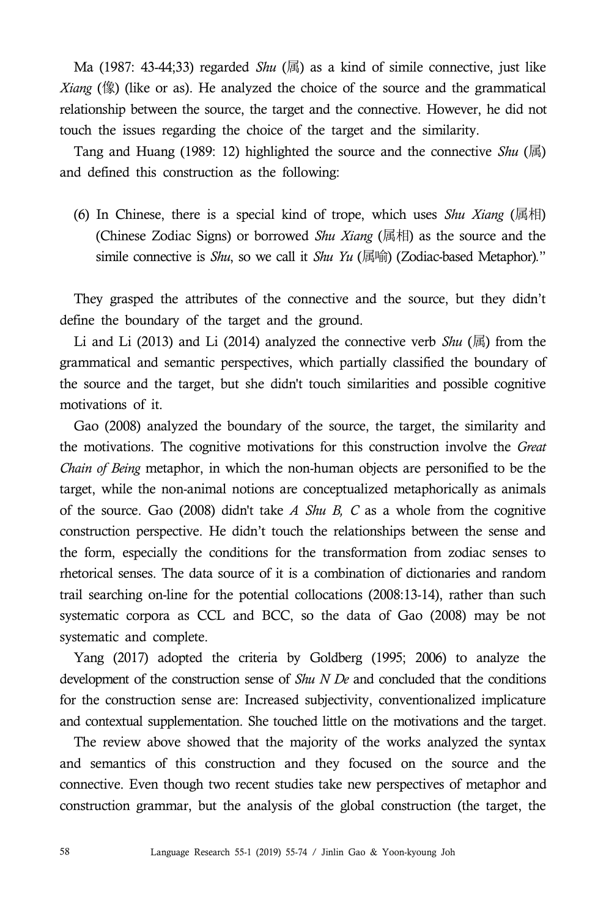Ma (1987: 43-44;33) regarded *Shu* (属) as a kind of simile connective, just like *Xiang* (像) (like or as). He analyzed the choice of the source and the grammatical relationship between the source, the target and the connective. However, he did not touch the issues regarding the choice of the target and the similarity.

Tang and Huang (1989: 12) highlighted the source and the connective *Shu* (属) and defined this construction as the following:

(6) In Chinese, there is a special kind of trope, which uses *Shu Xiang* (属相) (Chinese Zodiac Signs) or borrowed *Shu Xiang* (属相) as the source and the simile connective is *Shu*, so we call it *Shu Yu* (属喻) (Zodiac-based Metaphor)*.*"

They grasped the attributes of the connective and the source, but they didn't define the boundary of the target and the ground.

Li and Li (2013) and Li (2014) analyzed the connective verb *Shu* (属) from the grammatical and semantic perspectives, which partially classified the boundary of the source and the target, but she didn't touch similarities and possible cognitive motivations of it.

Gao (2008) analyzed the boundary of the source, the target, the similarity and the motivations. The cognitive motivations for this construction involve the *Great Chain of Being* metaphor, in which the non-human objects are personified to be the target, while the non-animal notions are conceptualized metaphorically as animals of the source. Gao (2008) didn't take *A Shu B, C* as a whole from the cognitive construction perspective. He didn't touch the relationships between the sense and the form, especially the conditions for the transformation from zodiac senses to rhetorical senses. The data source of it is a combination of dictionaries and random trail searching on-line for the potential collocations (2008:13-14), rather than such systematic corpora as CCL and BCC, so the data of Gao (2008) may be not systematic and complete.

Yang (2017) adopted the criteria by Goldberg (1995; 2006) to analyze the development of the construction sense of *Shu N De* and concluded that the conditions for the construction sense are: Increased subjectivity, conventionalized implicature and contextual supplementation. She touched little on the motivations and the target.

The review above showed that the majority of the works analyzed the syntax and semantics of this construction and they focused on the source and the connective. Even though two recent studies take new perspectives of metaphor and construction grammar, but the analysis of the global construction (the target, the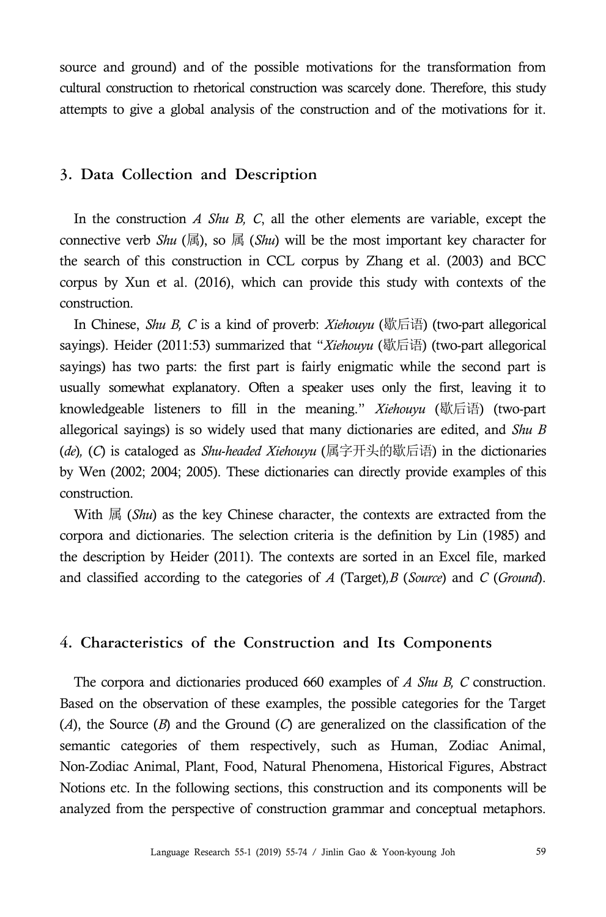source and ground) and of the possible motivations for the transformation from cultural construction to rhetorical construction was scarcely done. Therefore, this study attempts to give a global analysis of the construction and of the motivations for it.

## **3. Data Collection and Description**

In the construction *A Shu B, C*, all the other elements are variable, except the connective verb *Shu* ( $\overline{B}$ ), so  $\overline{B}$  (*Shu*) will be the most important key character for the search of this construction in CCL corpus by Zhang et al. (2003) and BCC corpus by Xun et al. (2016), which can provide this study with contexts of the construction.

In Chinese, *Shu B, C* is a kind of proverb: *Xiehouyu* (歇后语) (two-part allegorical sayings). Heider (2011:53) summarized that "*Xiehouyu* (歇后语) (two-part allegorical sayings) has two parts: the first part is fairly enigmatic while the second part is usually somewhat explanatory. Often a speaker uses only the first, leaving it to knowledgeable listeners to fill in the meaning." *Xiehouyu* (歇后语) (two-part allegorical sayings) is so widely used that many dictionaries are edited, and *Shu B* (*de*)*,* (*C*) is cataloged as *Shu*-*headed Xiehouyu* (属字开头的歇后语) in the dictionaries by Wen (2002; 2004; 2005). These dictionaries can directly provide examples of this construction.

With 属 (*Shu*) as the key Chinese character, the contexts are extracted from the corpora and dictionaries. The selection criteria is the definition by Lin (1985) and the description by Heider (2011). The contexts are sorted in an Excel file, marked and classified according to the categories of *A* (Target)*,B* (*Source*) and *C* (*Ground*).

## **4. Characteristics of the Construction and Its Components**

The corpora and dictionaries produced 660 examples of *A Shu B, C* construction. Based on the observation of these examples, the possible categories for the Target (*A*), the Source (*B*) and the Ground (*C*) are generalized on the classification of the semantic categories of them respectively, such as Human, Zodiac Animal, Non-Zodiac Animal, Plant, Food, Natural Phenomena, Historical Figures, Abstract Notions etc. In the following sections, this construction and its components will be analyzed from the perspective of construction grammar and conceptual metaphors.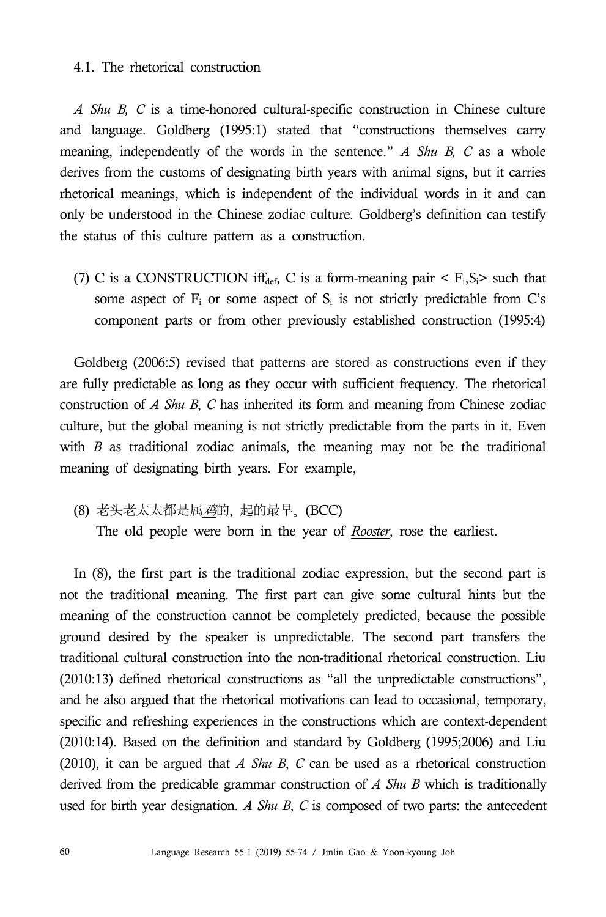#### 4.1. The rhetorical construction

*A Shu B, C* is a time-honored cultural-specific construction in Chinese culture and language. Goldberg (1995:1) stated that "constructions themselves carry meaning, independently of the words in the sentence." *A Shu B, C* as a whole derives from the customs of designating birth years with animal signs, but it carries rhetorical meanings, which is independent of the individual words in it and can only be understood in the Chinese zodiac culture. Goldberg's definition can testify the status of this culture pattern as a construction.

(7) C is a CONSTRUCTION if  $f_{def}$ , C is a form-meaning pair  $\lt F_i, S_i$  such that some aspect of  $F_i$  or some aspect of  $S_i$  is not strictly predictable from C's component parts or from other previously established construction (1995:4)

Goldberg (2006:5) revised that patterns are stored as constructions even if they are fully predictable as long as they occur with sufficient frequency. The rhetorical construction of *A Shu B*, *C* has inherited its form and meaning from Chinese zodiac culture, but the global meaning is not strictly predictable from the parts in it. Even with *B* as traditional zodiac animals, the meaning may not be the traditional meaning of designating birth years. For example,

(8) 老头老太太都是属鸡的, 起的最早。 (BCC)

The old people were born in the year of *Rooster*, rose the earliest.

In (8), the first part is the traditional zodiac expression, but the second part is not the traditional meaning. The first part can give some cultural hints but the meaning of the construction cannot be completely predicted, because the possible ground desired by the speaker is unpredictable. The second part transfers the traditional cultural construction into the non-traditional rhetorical construction. Liu (2010:13) defined rhetorical constructions as "all the unpredictable constructions", and he also argued that the rhetorical motivations can lead to occasional, temporary, specific and refreshing experiences in the constructions which are context-dependent (2010:14). Based on the definition and standard by Goldberg (1995;2006) and Liu (2010), it can be argued that *A Shu B*, *C* can be used as a rhetorical construction derived from the predicable grammar construction of *A Shu B* which is traditionally used for birth year designation. *A Shu B*, *C* is composed of two parts: the antecedent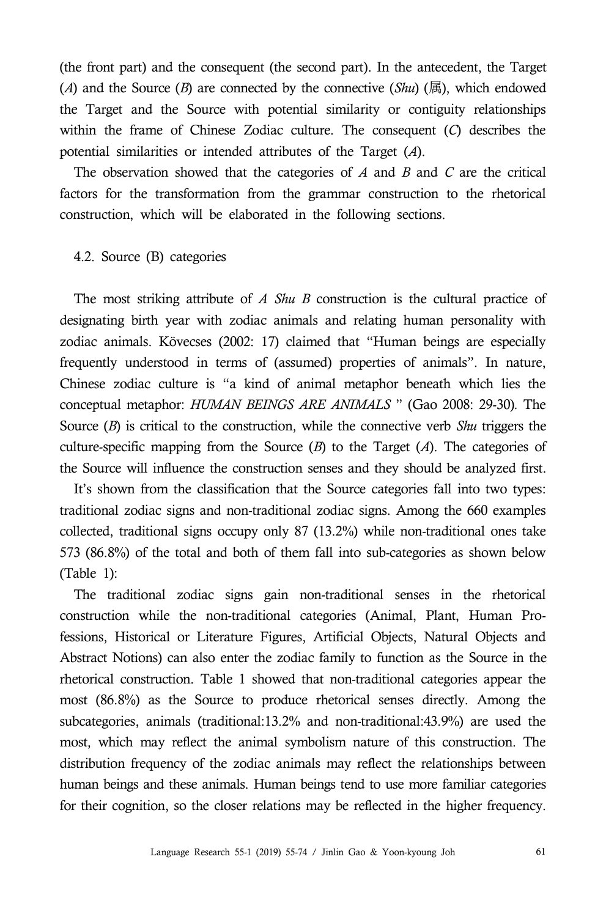(the front part) and the consequent (the second part). In the antecedent, the Target (*A*) and the Source (*B*) are connected by the connective (*Shu*) (属), which endowed the Target and the Source with potential similarity or contiguity relationships within the frame of Chinese Zodiac culture. The consequent (*C*) describes the potential similarities or intended attributes of the Target (*A*).

The observation showed that the categories of *A* and *B* and *C* are the critical factors for the transformation from the grammar construction to the rhetorical construction, which will be elaborated in the following sections.

### 4.2. Source (B) categories

The most striking attribute of *A Shu B* construction is the cultural practice of designating birth year with zodiac animals and relating human personality with zodiac animals. Kövecses (2002: 17) claimed that "Human beings are especially frequently understood in terms of (assumed) properties of animals". In nature, Chinese zodiac culture is "a kind of animal metaphor beneath which lies the conceptual metaphor: *HUMAN BEINGS ARE ANIMALS* " (Gao 2008: 29-30)*.* The Source (*B*) is critical to the construction, while the connective verb *Shu* triggers the culture-specific mapping from the Source (*B*) to the Target (*A*). The categories of the Source will influence the construction senses and they should be analyzed first.

It's shown from the classification that the Source categories fall into two types: traditional zodiac signs and non-traditional zodiac signs. Among the 660 examples collected, traditional signs occupy only 87 (13.2%) while non-traditional ones take 573 (86.8%) of the total and both of them fall into sub-categories as shown below (Table 1):

The traditional zodiac signs gain non-traditional senses in the rhetorical construction while the non-traditional categories (Animal, Plant, Human Pro fessions, Historical or Literature Figures, Artificial Objects, Natural Objects and Abstract Notions) can also enter the zodiac family to function as the Source in the rhetorical construction. Table 1 showed that non-traditional categories appear the most (86.8%) as the Source to produce rhetorical senses directly. Among the subcategories, animals (traditional:13.2% and non-traditional:43.9%) are used the most, which may reflect the animal symbolism nature of this construction. The distribution frequency of the zodiac animals may reflect the relationships between human beings and these animals. Human beings tend to use more familiar categories for their cognition, so the closer relations may be reflected in the higher frequency.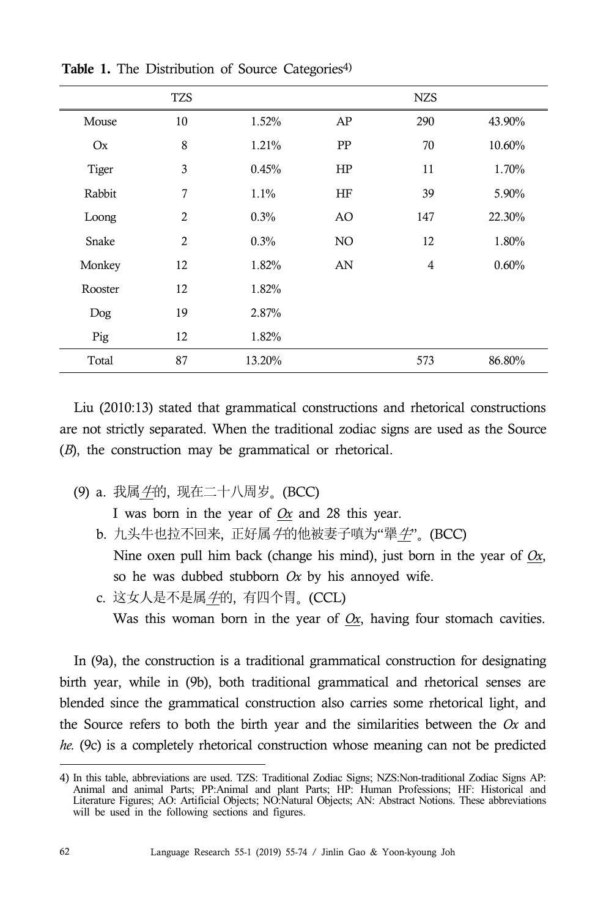|              | <b>TZS</b>     |        |    | <b>NZS</b> |        |
|--------------|----------------|--------|----|------------|--------|
| Mouse        | 10             | 1.52%  | AP | 290        | 43.90% |
| Ox           | 8              | 1.21%  | PP | 70         | 10.60% |
| <b>Tiger</b> | 3              | 0.45%  | HP | 11         | 1.70%  |
| Rabbit       | 7              | 1.1%   | HF | 39         | 5.90%  |
| Loong        | $\overline{2}$ | 0.3%   | AO | 147        | 22.30% |
| Snake        | $\overline{2}$ | 0.3%   | NO | 12         | 1.80%  |
| Monkey       | 12             | 1.82%  | AN | 4          | 0.60%  |
| Rooster      | 12             | 1.82%  |    |            |        |
| Dog          | 19             | 2.87%  |    |            |        |
| Pig          | 12             | 1.82%  |    |            |        |
| Total        | 87             | 13.20% |    | 573        | 86.80% |

Table 1. The Distribution of Source Categories<sup>4)</sup>

Liu (2010:13) stated that grammatical constructions and rhetorical constructions are not strictly separated. When the traditional zodiac signs are used as the Source (*B*), the construction may be grammatical or rhetorical.

(9) a. 我属牛的, 现在二十八周岁。 (BCC)

I was born in the year of *Ox* and 28 this year.

b. 九头牛也拉不回来, 正好属 牛的他被妻子嗔为"犟 牛"。 (BCC) Nine oxen pull him back (change his mind), just born in the year of *Ox*, so he was dubbed stubborn *Ox* by his annoyed wife.

c. 这女人是不是属牛的, 有四个胃。 (CCL)

Was this woman born in the year of  $Ox$ , having four stomach cavities.

In (9a), the construction is a traditional grammatical construction for designating birth year, while in (9b), both traditional grammatical and rhetorical senses are blended since the grammatical construction also carries some rhetorical light, and the Source refers to both the birth year and the similarities between the *Ox* and *he.* (9c) is a completely rhetorical construction whose meaning can not be predicted

<sup>4)</sup> In this table, abbreviations are used. TZS: Traditional Zodiac Signs; NZS:Non-traditional Zodiac Signs AP: Animal and animal Parts; PP:Animal and plant Parts; HP: Human Professions; HF: Historical and Literature Figures; AO: Artificial Objects; NO:Natural Objects; AN: Abstract Notions. These abbreviations will be used in the following sections and figures.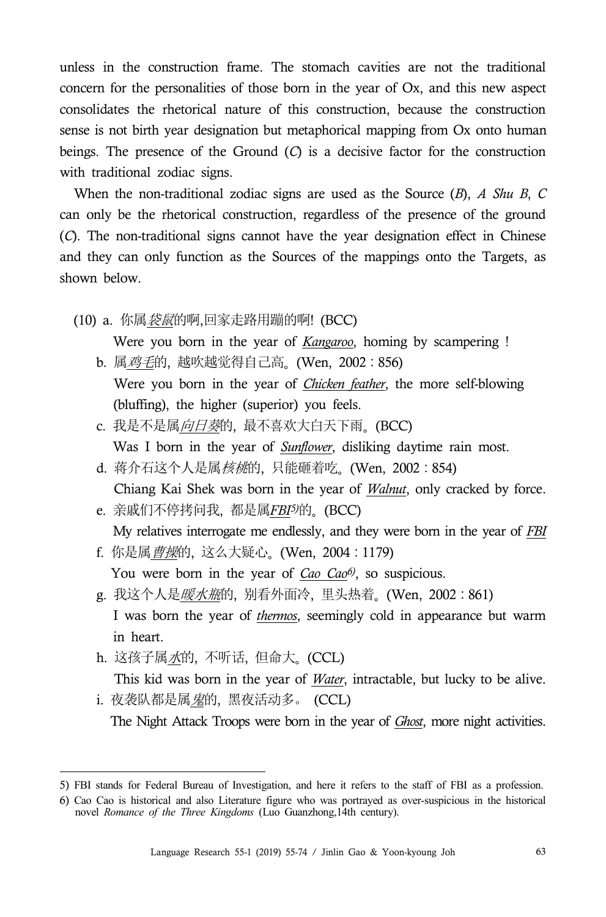unless in the construction frame. The stomach cavities are not the traditional concern for the personalities of those born in the year of Ox, and this new aspect consolidates the rhetorical nature of this construction, because the construction sense is not birth year designation but metaphorical mapping from Ox onto human beings. The presence of the Ground (*C*) is a decisive factor for the construction with traditional zodiac signs.

When the non-traditional zodiac signs are used as the Source (*B*), *A Shu B*, *C* can only be the rhetorical construction, regardless of the presence of the ground (*C*). The non-traditional signs cannot have the year designation effect in Chinese and they can only function as the Sources of the mappings onto the Targets, as shown below.

(10) a. 你属<u>*袋鼠*的啊,</u>回家走路用蹦的啊! (BCC)

Were you born in the year of *Kangaroo*, homing by scampering !

- b. 属鸡毛的, 越吹越觉得自己高。 (Wen, 2002:856) Were you born in the year of *Chicken feather*, the more self-blowing (bluffing), the higher (superior) you feels.
- c. 我是不是属向日葵的, 最不喜欢大白天下雨。 (BCC) Was I born in the year of *Sunflower*, disliking daytime rain most.
- d. 蒋介石这个人是属*核桃*的, 只能砸着吃。 (Wen, 2002:854)
- Chiang Kai Shek was born in the year of *Walnut*, only cracked by force. e. 亲戚们不停拷问我, 都是属*FBI5)*的。 (BCC)

My relatives interrogate me endlessly, and they were born in the year of *FBI*

- f. 你是属曹操的, 这么大疑心。 (Wen, 2004:1179) You were born in the year of *Cao Cao6)*, so suspicious.
- g. 我这个人是*暖水瓶*的, 别看外面冷, 里头热着。 (Wen, 2002:861) I was born the year of *thermos*, seemingly cold in appearance but warm in heart.
- h. 这孩子属水的, 不听话, 但命大。 (CCL)
- This kid was born in the year of *Water*, intractable, but lucky to be alive. i. 夜袭队都是属*鬼*的,黑夜活动多。 (CCL)

The Night Attack Troops were born in the year of *Ghost*, more night activities.

<sup>5)</sup> FBI stands for Federal Bureau of Investigation, and here it refers to the staff of FBI as a profession.

<sup>6)</sup> Cao Cao is historical and also Literature figure who was portrayed as over-suspicious in the historical novel *Romance of the Three Kingdoms* (Luo Guanzhong,14th century).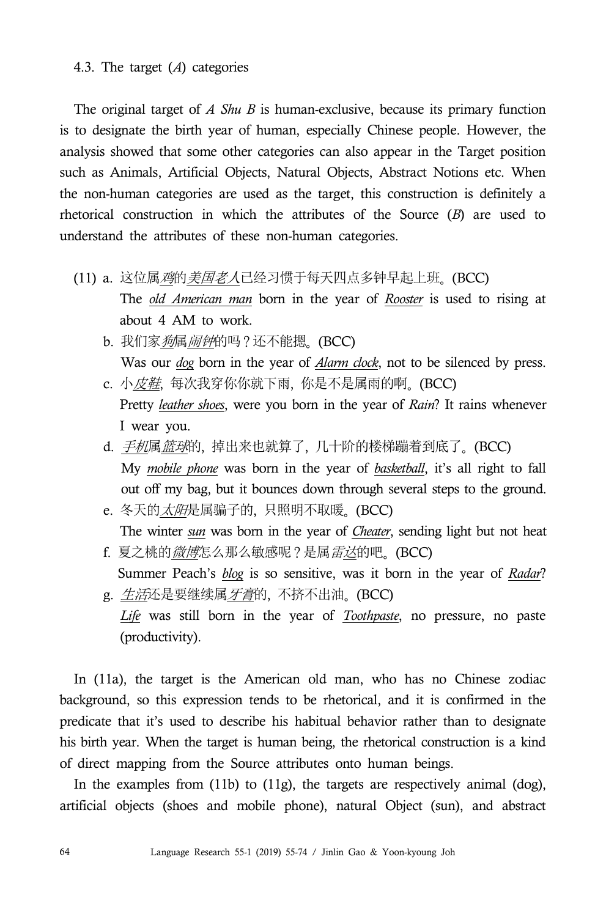## 4.3. The target (*A*) categories

The original target of *A Shu B* is human-exclusive, because its primary function is to designate the birth year of human, especially Chinese people. However, the analysis showed that some other categories can also appear in the Target position such as Animals, Artificial Objects, Natural Objects, Abstract Notions etc. When the non-human categories are used as the target, this construction is definitely a rhetorical construction in which the attributes of the Source (*B*) are used to understand the attributes of these non-human categories.

- (11) a. 这位属*鸡*的*美国老人*已经习惯于每天四点多钟早起上班。(BCC)
	- The *old American man* born in the year of *Rooster* is used to rising at about 4 AM to work.
	- b. 我们家*狗*属*闹钟*的吗?还不能摁。 (BCC)

Was our *dog* born in the year of *Alarm clock*, not to be silenced by press. c. 小*皮鞋*, 每次我穿你你就下雨, 你是不是属雨的啊。(BCC)

Pretty *leather shoes*, were you born in the year of *Rain*? It rains whenever I wear you.

- d. 手机属篮球的, 掉出来也就算了, 几十阶的楼梯蹦着到底了。(BCC) My *mobile phone* was born in the year of *basketball*, it's all right to fall out off my bag, but it bounces down through several steps to the ground.
- e. 冬天的*太阳*是属骗子的, 只照明不取暖。(BCC) The winter *sun* was born in the year of *Cheater*, sending light but not heat
- f. 夏之桃的*微博*怎么那么敏感呢?是属*雷达*的吧。 (BCC) Summer Peach's *blog* is so sensitive, was it born in the year of *Radar*?
- g. 生活还是要继续属*牙膏*的, 不挤不出油。 (BCC) *Life* was still born in the year of *Toothpaste*, no pressure, no paste (productivity).

 In (11a), the target is the American old man, who has no Chinese zodiac background, so this expression tends to be rhetorical, and it is confirmed in the predicate that it's used to describe his habitual behavior rather than to designate his birth year. When the target is human being, the rhetorical construction is a kind of direct mapping from the Source attributes onto human beings.

In the examples from  $(11b)$  to  $(11g)$ , the targets are respectively animal  $(dog)$ , artificial objects (shoes and mobile phone), natural Object (sun), and abstract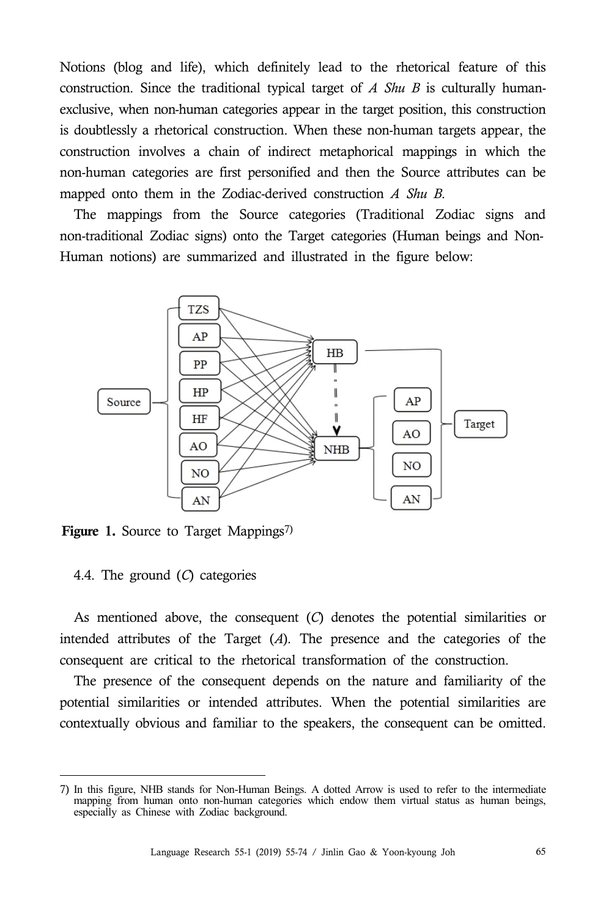Notions (blog and life), which definitely lead to the rhetorical feature of this construction. Since the traditional typical target of *A Shu B* is culturally humanexclusive, when non-human categories appear in the target position, this construction is doubtlessly a rhetorical construction. When these non-human targets appear, the construction involves a chain of indirect metaphorical mappings in which the non-human categories are first personified and then the Source attributes can be mapped onto them in the Zodiac-derived construction *A Shu B*.

The mappings from the Source categories (Traditional Zodiac signs and non-traditional Zodiac signs) onto the Target categories (Human beings and Non-Human notions) are summarized and illustrated in the figure below:



Figure 1. Source to Target Mappings<sup>7)</sup>

## 4.4. The ground (*C*) categories

As mentioned above, the consequent (*C*) denotes the potential similarities or intended attributes of the Target (*A*). The presence and the categories of the consequent are critical to the rhetorical transformation of the construction.

The presence of the consequent depends on the nature and familiarity of the potential similarities or intended attributes. When the potential similarities are contextually obvious and familiar to the speakers, the consequent can be omitted.

<sup>7)</sup> In this figure, NHB stands for Non-Human Beings. A dotted Arrow is used to refer to the intermediate mapping from human onto non-human categories which endow them virtual status as human beings, especially as Chinese with Zodiac background.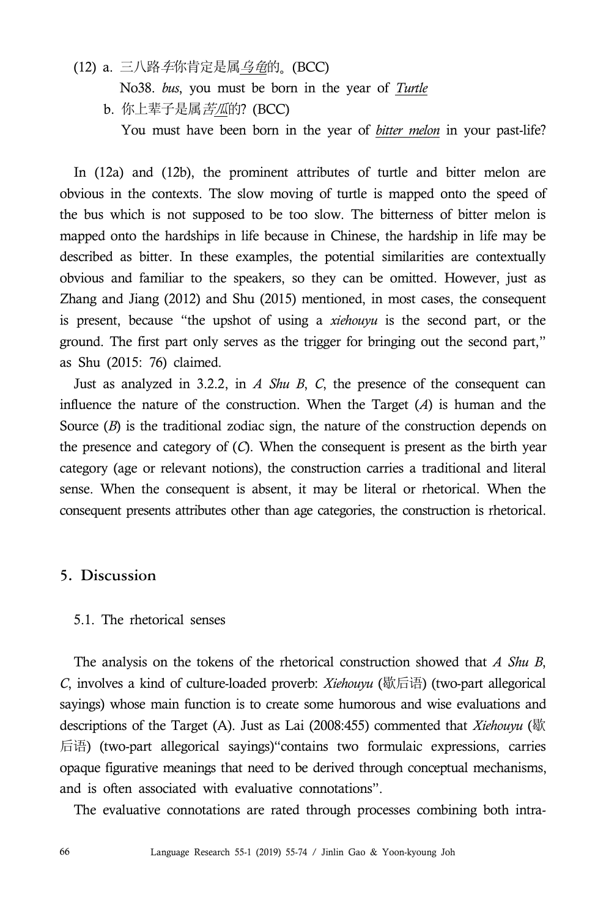# (12) a. 三八路 车你肯定是属 乌龟的。 (BCC)

No38. *bus*, you must be born in the year of *Turtle*

b. 你上辈子是属*苦瓜*的? (BCC)

You must have been born in the year of *bitter melon* in your past-life?

In (12a) and (12b), the prominent attributes of turtle and bitter melon are obvious in the contexts. The slow moving of turtle is mapped onto the speed of the bus which is not supposed to be too slow. The bitterness of bitter melon is mapped onto the hardships in life because in Chinese, the hardship in life may be described as bitter. In these examples, the potential similarities are contextually obvious and familiar to the speakers, so they can be omitted. However, just as Zhang and Jiang (2012) and Shu (2015) mentioned, in most cases, the consequent is present, because "the upshot of using a *xiehouyu* is the second part, or the ground. The first part only serves as the trigger for bringing out the second part," as Shu (2015: 76) claimed.

Just as analyzed in 3.2.2, in *A Shu B*, *C*, the presence of the consequent can influence the nature of the construction. When the Target (*A*) is human and the Source (*B*) is the traditional zodiac sign, the nature of the construction depends on the presence and category of (*C*). When the consequent is present as the birth year category (age or relevant notions), the construction carries a traditional and literal sense. When the consequent is absent, it may be literal or rhetorical. When the consequent presents attributes other than age categories, the construction is rhetorical.

# **5. Discussion**

#### 5.1. The rhetorical senses

The analysis on the tokens of the rhetorical construction showed that *A Shu B*, *C*, involves a kind of culture-loaded proverb: *Xiehouyu* (歇后语) (two-part allegorical sayings) whose main function is to create some humorous and wise evaluations and descriptions of the Target (A). Just as Lai (2008:455) commented that *Xiehouyu* (歇 后语) (two-part allegorical sayings)"contains two formulaic expressions, carries opaque figurative meanings that need to be derived through conceptual mechanisms, and is often associated with evaluative connotations".

The evaluative connotations are rated through processes combining both intra-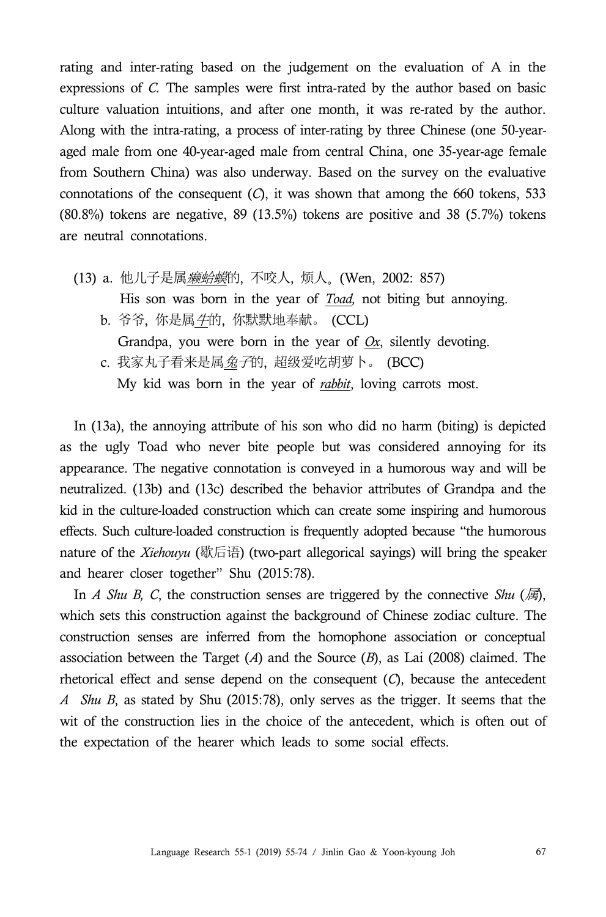rating and inter-rating based on the judgement on the evaluation of A in the expressions of *C.* The samples were first intra-rated by the author based on basic culture valuation intuitions, and after one month, it was re-rated by the author. Along with the intra-rating, a process of inter-rating by three Chinese (one 50-yearaged male from one 40-year-aged male from central China, one 35-year-age female from Southern China) was also underway. Based on the survey on the evaluative connotations of the consequent (*C*), it was shown that among the 660 tokens, 533 (80.8%) tokens are negative, 89 (13.5%) tokens are positive and 38 (5.7%) tokens are neutral connotations.

- (13) a. 他儿子是属*癞蛤蟆*的, 不咬人, 烦人<sub>。</sub> (Wen, 2002: 857) His son was born in the year of *Toad,* not biting but annoying. b. 爷爷, 你是属*牛*的, 你默默地奉献。 (CCL)
	- Grandpa, you were born in the year of *Ox*, silently devoting.
	- c. 我家丸子看来是属*兔子*的, 超级爱吃胡萝卜。 (BCC) My kid was born in the year of *rabbit*, loving carrots most.

In (13a), the annoying attribute of his son who did no harm (biting) is depicted as the ugly Toad who never bite people but was considered annoying for its appearance. The negative connotation is conveyed in a humorous way and will be neutralized. (13b) and (13c) described the behavior attributes of Grandpa and the kid in the culture-loaded construction which can create some inspiring and humorous effects. Such culture-loaded construction is frequently adopted because "the humorous nature of the *Xiehouyu* (歇后语) (two-part allegorical sayings) will bring the speaker and hearer closer together" Shu (2015:78).

In *A Shu B, C*, the construction senses are triggered by the connective *Shu* ( $\overline{\mathcal{B}}$ ), which sets this construction against the background of Chinese zodiac culture. The construction senses are inferred from the homophone association or conceptual association between the Target (*A*) and the Source (*B*), as Lai (2008) claimed. The rhetorical effect and sense depend on the consequent (*C*), because the antecedent *A Shu B*, as stated by Shu (2015:78), only serves as the trigger. It seems that the wit of the construction lies in the choice of the antecedent, which is often out of the expectation of the hearer which leads to some social effects.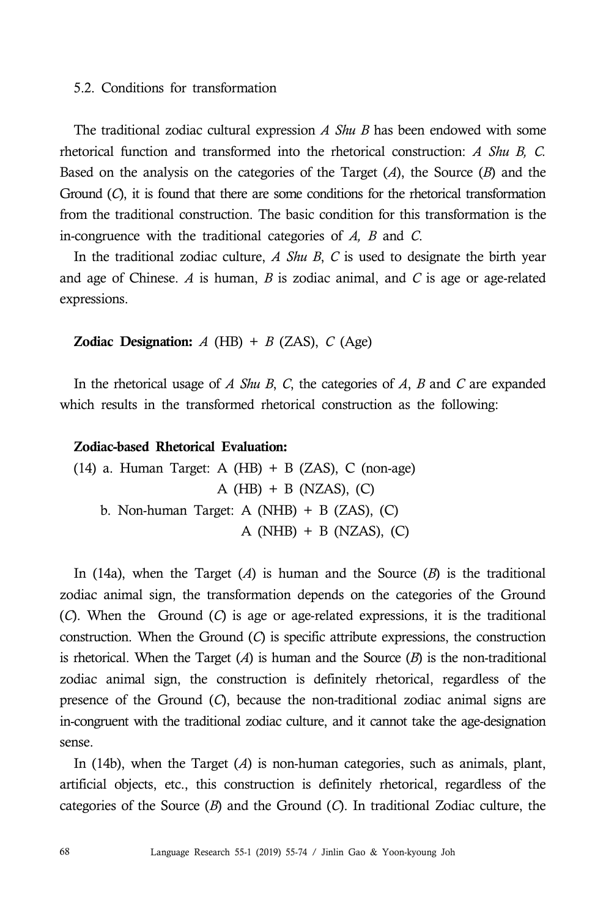#### 5.2. Conditions for transformation

The traditional zodiac cultural expression *A Shu B* has been endowed with some rhetorical function and transformed into the rhetorical construction: *A Shu B, C.* Based on the analysis on the categories of the Target (*A*), the Source (*B*) and the Ground (*C*), it is found that there are some conditions for the rhetorical transformation from the traditional construction. The basic condition for this transformation is the in-congruence with the traditional categories of *A, B* and *C*. In the traditional zodiac culture, *<sup>A</sup> Shu <sup>B</sup>*, *<sup>C</sup>* is used to designate the birth year

and age of Chinese. *A* is human, *B* is zodiac animal, and *C* is age or age-related expressions.

#### **Zodiac Designation:**  $A$  (HB) +  $B$  (ZAS),  $C$  (Age)

In the rhetorical usage of *A Shu B*, *C*, the categories of *A*, *B* and *C* are expanded which results in the transformed rhetorical construction as the following:

## Zodiac-based Rhetorical Evaluation:

(14) a. Human Target: A  $(HB) + B$  (ZAS), C (non-age)  $A$  (HB) + B (NZAS), (C) b. Non-human Target: A (NHB)  $+$  B (ZAS), (C) A ( $NHB$ ) + B ( $NZAS$ ), (C)

In (14a), when the Target  $(A)$  is human and the Source  $(B)$  is the traditional zodiac animal sign, the transformation depends on the categories of the Ground (*C*). When the Ground (*C*) is age or age-related expressions, it is the traditional construction. When the Ground (*C*) is specific attribute expressions, the construction is rhetorical. When the Target  $(A)$  is human and the Source  $(B)$  is the non-traditional zodiac animal sign, the construction is definitely rhetorical, regardless of the presence of the Ground (*C*), because the non-traditional zodiac animal signs are in-congruent with the traditional zodiac culture, and it cannot take the age-designation sense.

In (14b), when the Target (*A*) is non-human categories, such as animals, plant, artificial objects, etc., this construction is definitely rhetorical, regardless of the categories of the Source (*B*) and the Ground (*C*). In traditional Zodiac culture, the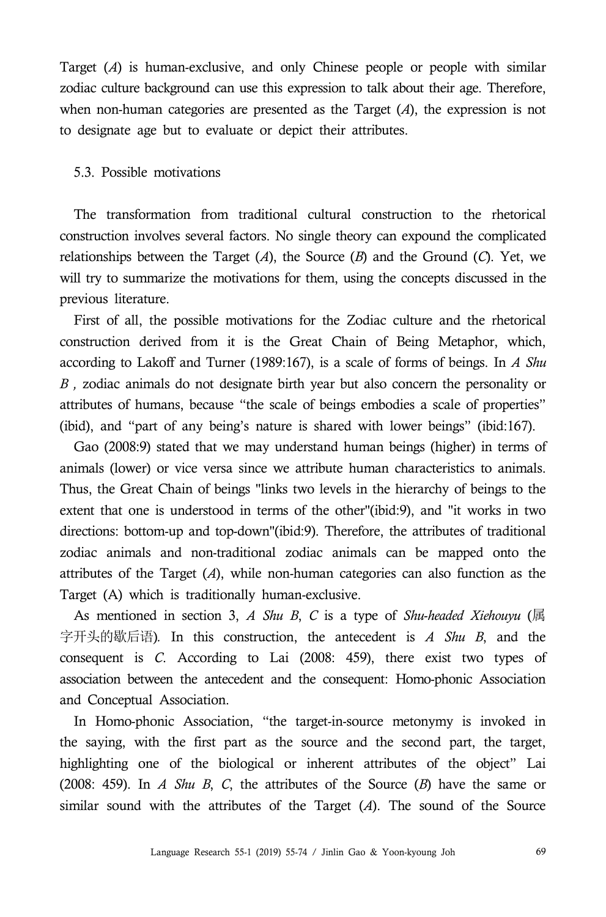Target (*A*) is human-exclusive, and only Chinese people or people with similar zodiac culture background can use this expression to talk about their age. Therefore, when non-human categories are presented as the Target (*A*), the expression is not to designate age but to evaluate or depict their attributes.

## 5.3. Possible motivations

The transformation from traditional cultural construction to the rhetorical construction involves several factors. No single theory can expound the complicated relationships between the Target  $(A)$ , the Source  $(B)$  and the Ground  $(C)$ . Yet, we will try to summarize the motivations for them, using the concepts discussed in the previous literature.

First of all, the possible motivations for the Zodiac culture and the rhetorical construction derived from it is the Great Chain of Being Metaphor, which, according to Lakoff and Turner (1989:167), is a scale of forms of beings. In *A Shu B ,* zodiac animals do not designate birth year but also concern the personality or attributes of humans, because "the scale of beings embodies a scale of properties" (ibid), and "part of any being's nature is shared with lower beings" (ibid:167).

Gao (2008:9) stated that we may understand human beings (higher) in terms of animals (lower) or vice versa since we attribute human characteristics to animals. Thus, the Great Chain of beings "links two levels in the hierarchy of beings to the extent that one is understood in terms of the other"(ibid:9), and "it works in two directions: bottom-up and top-down"(ibid:9). Therefore, the attributes of traditional zodiac animals and non-traditional zodiac animals can be mapped onto the attributes of the Target (*A*), while non-human categories can also function as the Target (A) which is traditionally human-exclusive.

As mentioned in section 3, *A Shu B*, *C* is a type of *Shu*-*headed Xiehouyu* (属 字开头的歇后语)*.* In this construction, the antecedent is *A Shu B*, and the consequent is *C*. According to Lai (2008: 459), there exist two types of association between the antecedent and the consequent: Homo-phonic Association and Conceptual Association.

In Homo-phonic Association, "the target-in-source metonymy is invoked in the saying, with the first part as the source and the second part, the target, highlighting one of the biological or inherent attributes of the object" Lai (2008: 459). In *A Shu B*, *C*, the attributes of the Source (*B*) have the same or similar sound with the attributes of the Target (*A*). The sound of the Source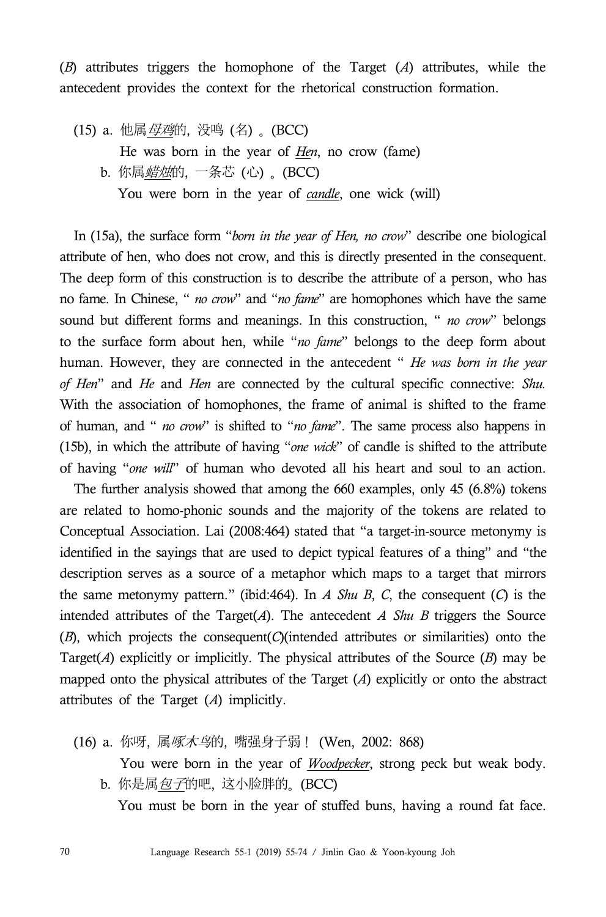(*B*) attributes triggers the homophone of the Target (*A*) attributes, while the antecedent provides the context for the rhetorical construction formation.

(15) a. 他属母鸡的, 没鸣 (名) 。 (BCC) He was born in the year of *Hen*, no crow (fame) b. 你属*蜡烛*的, 一条芯 (心) 。(BCC) You were born in the year of *candle*, one wick (will)

In (15a), the surface form "*born in the year of Hen, no crow*" describe one biological attribute of hen, who does not crow, and this is directly presented in the consequent. The deep form of this construction is to describe the attribute of a person, who has no fame. In Chinese, " *no crow*" and "*no fame*" are homophones which have the same sound but different forms and meanings. In this construction, " *no crow*" belongs to the surface form about hen, while "*no fame*" belongs to the deep form about human. However, they are connected in the antecedent " *He was born in the year of Hen*" and *He* and *Hen* are connected by the cultural specific connective: *Shu.*  With the association of homophones, the frame of animal is shifted to the frame of human, and " *no crow*" is shifted to "*no fame*". The same process also happens in (15b), in which the attribute of having "*one wick*" of candle is shifted to the attribute of having "*one will*" of human who devoted all his heart and soul to an action.

The further analysis showed that among the 660 examples, only 45 (6.8%) tokens are related to homo-phonic sounds and the majority of the tokens are related to Conceptual Association. Lai (2008:464) stated that "a target-in-source metonymy is identified in the sayings that are used to depict typical features of a thing" and "the description serves as a source of a metaphor which maps to a target that mirrors the same metonymy pattern." (ibid:464). In *A Shu B*, *C*, the consequent (*C*) is the intended attributes of the Target $(A)$ . The antecedent *A Shu B* triggers the Source (*B*), which projects the consequent(*C*)(intended attributes or similarities) onto the Target( $A$ ) explicitly or implicitly. The physical attributes of the Source  $(B)$  may be mapped onto the physical attributes of the Target (*A*) explicitly or onto the abstract attributes of the Target (*A*) implicitly.

- (16) a. 你呀, 属啄木鸟的, 嘴强身子弱! (Wen, 2002: 868) You were born in the year of *Woodpecker*, strong peck but weak body.
	- b. 你是属包子的吧, 这小脸胖的。 (BCC) You must be born in the year of stuffed buns, having a round fat face.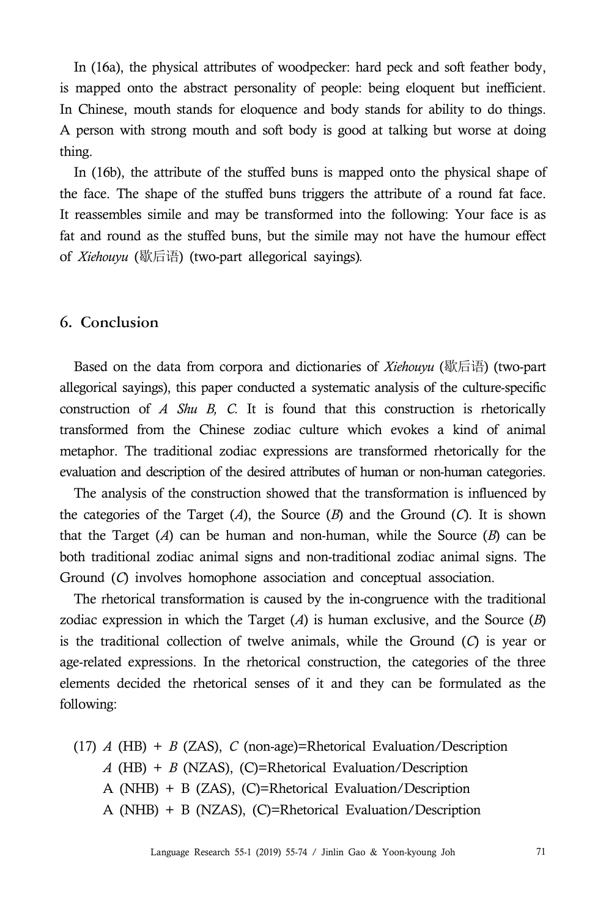In (16a), the physical attributes of woodpecker: hard peck and soft feather body, is mapped onto the abstract personality of people: being eloquent but inefficient. In Chinese, mouth stands for eloquence and body stands for ability to do things. A person with strong mouth and soft body is good at talking but worse at doing thing.

In (16b), the attribute of the stuffed buns is mapped onto the physical shape of the face. The shape of the stuffed buns triggers the attribute of a round fat face. It reassembles simile and may be transformed into the following: Your face is as fat and round as the stuffed buns, but the simile may not have the humour effect of *Xiehouyu* (歇后语) (two-part allegorical sayings)*.* 

## **6. Conclusion**

Based on the data from corpora and dictionaries of *Xiehouyu* (歇后语) (two-part allegorical sayings), this paper conducted a systematic analysis of the culture-specific construction of *A Shu B, C.* It is found that this construction is rhetorically transformed from the Chinese zodiac culture which evokes a kind of animal metaphor. The traditional zodiac expressions are transformed rhetorically for the evaluation and description of the desired attributes of human or non-human categories.

The analysis of the construction showed that the transformation is influenced by the categories of the Target (*A*), the Source (*B*) and the Ground (*C*). It is shown that the Target  $(A)$  can be human and non-human, while the Source  $(B)$  can be both traditional zodiac animal signs and non-traditional zodiac animal signs. The Ground (*C*) involves homophone association and conceptual association.

The rhetorical transformation is caused by the in-congruence with the traditional zodiac expression in which the Target (*A*) is human exclusive, and the Source (*B*) is the traditional collection of twelve animals, while the Ground (*C*) is year or age-related expressions. In the rhetorical construction, the categories of the three elements decided the rhetorical senses of it and they can be formulated as the following:

(17) *A* (HB) + *B* (ZAS), *C* (non-age)=Rhetorical Evaluation/Description *A* (HB) + *B* (NZAS), (C)=Rhetorical Evaluation/Description A (NHB) + B (ZAS), (C)=Rhetorical Evaluation/Description A (NHB) + B (NZAS), (C)=Rhetorical Evaluation/Description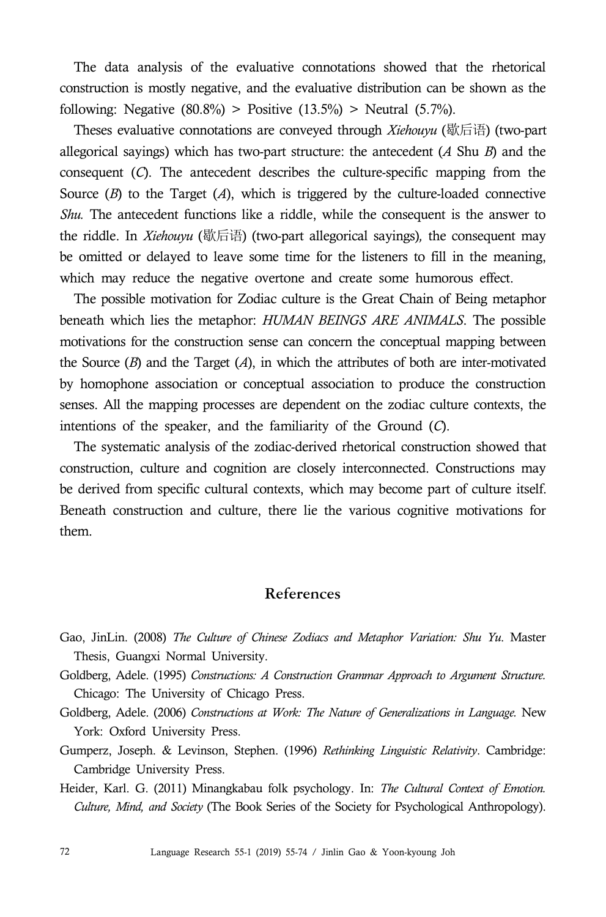The data analysis of the evaluative connotations showed that the rhetorical construction is mostly negative, and the evaluative distribution can be shown as the following: Negative  $(80.8\%)$  > Positive  $(13.5\%)$  > Neutral  $(5.7\%)$ .

Theses evaluative connotations are conveyed through *Xiehouyu* (歇后语) (two-part allegorical sayings) which has two-part structure: the antecedent (*A* Shu *B*) and the consequent (*C*). The antecedent describes the culture-specific mapping from the Source (*B*) to the Target (*A*), which is triggered by the culture-loaded connective *Shu.* The antecedent functions like a riddle, while the consequent is the answer to the riddle. In *Xiehouyu* (歇后语) (two-part allegorical sayings)*,* the consequent may be omitted or delayed to leave some time for the listeners to fill in the meaning, which may reduce the negative overtone and create some humorous effect.

The possible motivation for Zodiac culture is the Great Chain of Being metaphor beneath which lies the metaphor: *HUMAN BEINGS ARE ANIMALS*. The possible motivations for the construction sense can concern the conceptual mapping between the Source (*B*) and the Target (*A*), in which the attributes of both are inter-motivated by homophone association or conceptual association to produce the construction senses. All the mapping processes are dependent on the zodiac culture contexts, the intentions of the speaker, and the familiarity of the Ground (*C*).

The systematic analysis of the zodiac-derived rhetorical construction showed that construction, culture and cognition are closely interconnected. Constructions may be derived from specific cultural contexts, which may become part of culture itself. Beneath construction and culture, there lie the various cognitive motivations for them.

## **References**

- Gao, JinLin. (2008) *The Culture of Chinese Zodiacs and Metaphor Variation: Shu Yu*. Master Thesis, Guangxi Normal University.
- Goldberg, Adele. (1995) *Constructions: A Construction Grammar Approach to Argument Structure.* Chicago: The University of Chicago Press.
- Goldberg, Adele. (2006) *Constructions at Work: The Nature of Generalizations in Language.* New York: Oxford University Press.
- Gumperz, Joseph. & Levinson, Stephen. (1996) *Rethinking Linguistic Relativity*. Cambridge: Cambridge University Press.
- Heider, Karl. G. (2011) Minangkabau folk psychology. In: *The Cultural Context of Emotion. Culture, Mind, and Society* (The Book Series of the Society for Psychological Anthropology).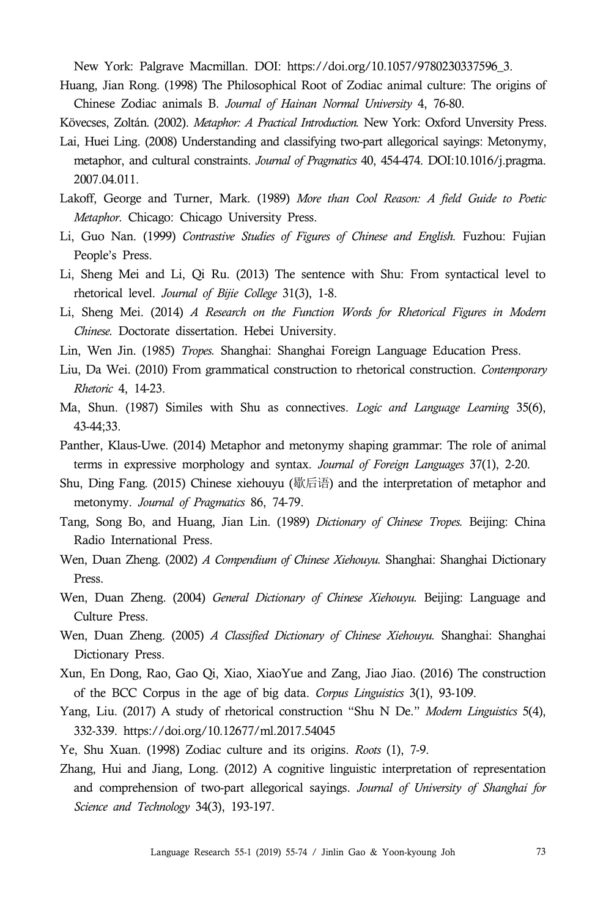New York: Palgrave Macmillan. DOI: https://doi.org/10.1057/9780230337596\_3.

Huang, Jian Rong. (1998) The Philosophical Root of Zodiac animal culture: The origins of Chinese Zodiac animals B. *Journal of Hainan Normal University* 4, 76-80.

Kövecses, Zoltán. (2002). *Metaphor: A Practical Introduction.* New York: Oxford Unversity Press.

- Lai, Huei Ling. (2008) Understanding and classifying two-part allegorical sayings: Metonymy, metaphor, and cultural constraints. *Journal of Pragmatics* 40, 454-474. DOI:10.1016/j.pragma. 2007.04.011.
- Lakoff, George and Turner, Mark. (1989) *More than Cool Reason: A field Guide to Poetic Metaphor*. Chicago: Chicago University Press.
- Li, Guo Nan. (1999) *Contrastive Studies of Figures of Chinese and English.* Fuzhou: Fujian People's Press.
- Li, Sheng Mei and Li, Qi Ru. (2013) The sentence with Shu: From syntactical level to rhetorical level. *Journal of Bijie College* 31(3), 1-8.
- Li, Sheng Mei. (2014) *A Research on the Function Words for Rhetorical Figures in Modern Chinese.* Doctorate dissertation. Hebei University.
- Lin, Wen Jin. (1985) *Tropes.* Shanghai: Shanghai Foreign Language Education Press.
- Liu, Da Wei. (2010) From grammatical construction to rhetorical construction. *Contemporary Rhetoric* 4, 14-23.
- Ma, Shun. (1987) Similes with Shu as connectives. *Logic and Language Learning* 35(6), 43-44;33.
- Panther, Klaus-Uwe. (2014) Metaphor and metonymy shaping grammar: The role of animal terms in expressive morphology and syntax. *Journal of Foreign Languages* 37(1), 2-20.
- Shu, Ding Fang. (2015) Chinese xiehouyu (歇后语) and the interpretation of metaphor and metonymy. *Journal of Pragmatics* 86, 74-79.
- Tang, Song Bo, and Huang, Jian Lin. (1989) *Dictionary of Chinese Tropes.* Beijing: China Radio International Press.
- Wen, Duan Zheng. (2002) *A Compendium of Chinese Xiehouyu.* Shanghai: Shanghai Dictionary Press.
- Wen, Duan Zheng. (2004) *General Dictionary of Chinese Xiehouyu.* Beijing: Language and Culture Press.
- Wen, Duan Zheng. (2005) *A Classified Dictionary of Chinese Xiehouyu.* Shanghai: Shanghai Dictionary Press.
- Xun, En Dong, Rao, Gao Qi, Xiao, XiaoYue and Zang, Jiao Jiao. (2016) The construction of the BCC Corpus in the age of big data. *Corpus Linguistics* 3(1), 93-109.
- Yang, Liu. (2017) A study of rhetorical construction "Shu N De." *Modern Linguistics* 5(4), 332-339. https://doi.org/10.12677/ml.2017.54045
- Ye, Shu Xuan. (1998) Zodiac culture and its origins. *Roots* (1), 7-9.
- Zhang, Hui and Jiang, Long. (2012) A cognitive linguistic interpretation of representation and comprehension of two-part allegorical sayings. *Journal of University of Shanghai for Science and Technology* 34(3), 193-197.